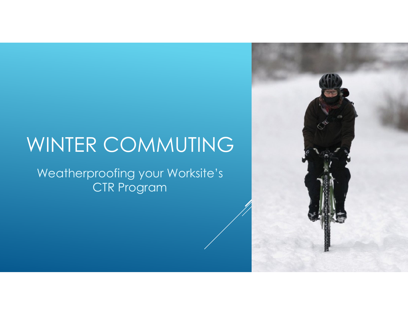# WINTER COMMUTING

Weatherproofing your Worksite's CTR Program

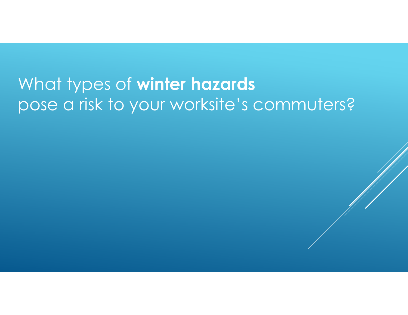## What types of **winter hazards** pose a risk to your worksite's commuters?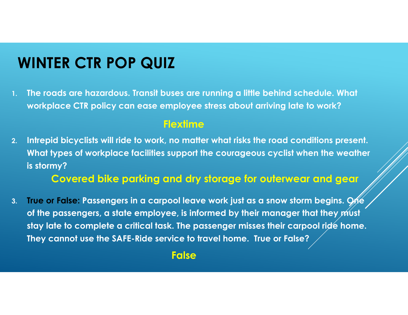### **WINTER CTR POP QUIZ**

**1. The roads are hazardous. Transit buses are running a little behind schedule. What workplace CTR policy can ease employee stress about arriving late to work?**

#### **Flextime**

**2. Intrepid bicyclists will ride to work, no matter what risks the road conditions present. What types of workplace facilities support the courageous cyclist when the weather is stormy?**

**Covered bike parking and dry storage for outerwear and gear**

**3. True or False: Passengers in a carpool leave work just as a snow storm begins. One**  of the passengers, a state employee, is informed by their manager that they *m*ust **stay late to complete a critical task. The passenger misses their carpool ride home. They cannot use the SAFE-Ride service to travel home. True or False?**

#### **False**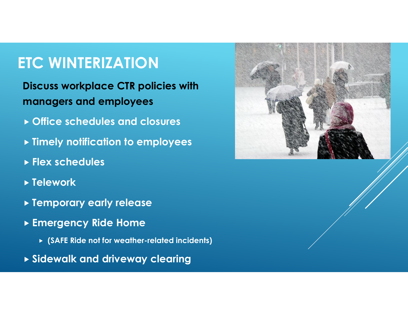### **ETC WINTERIZATION**

**Discuss workplace CTR policies with managers and employees**

- **Office schedules and closures**
- **Timely notification to employees**
- **Flex schedules**
- **Telework**
- **Temporary early release**
- **Emergency Ride Home** 
	- **(SAFE Ride not for weather-related incidents)**
- **Sidewalk and driveway clearing**

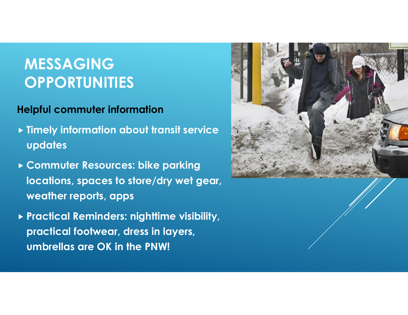### **MESSAGING OPPORTUNITIES**

### **Helpful commuter information**

- **Timely information about transit service updates**
- **Commuter Resources: bike parking locations, spaces to store/dry wet gear, weather reports, apps**
- **Practical Reminders: nighttime visibility, practical footwear, dress in layers, umbrellas are OK in the PNW!**